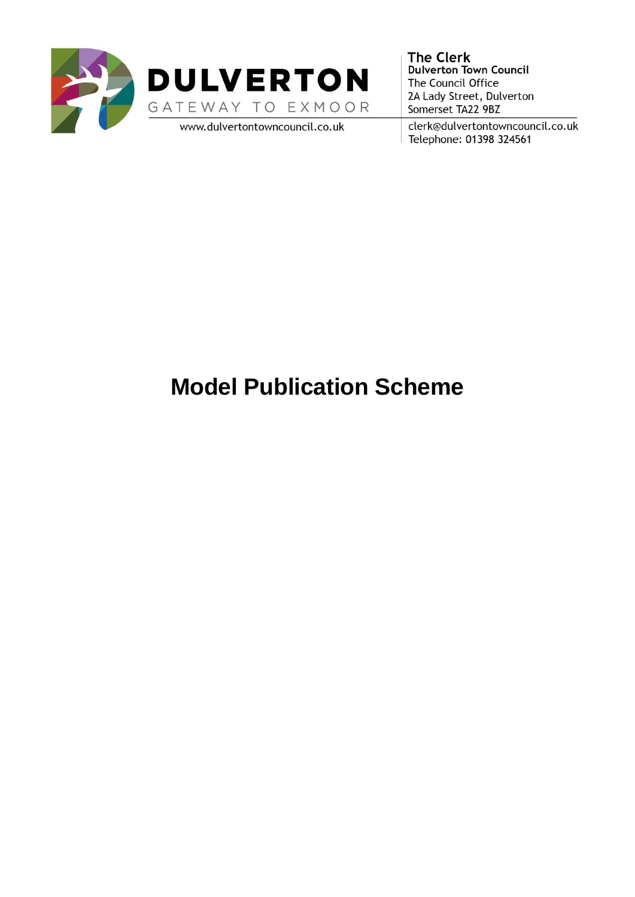



www.dulvertontowncouncil.co.uk

**The Clerk Dulverton Town Council** The Council Office 2A Lady Street, Dulverton Somerset TA22 9BZ

clerk@dulvertontowncouncil.co.uk Telephone: 01398 324561

# **Model Publication Scheme**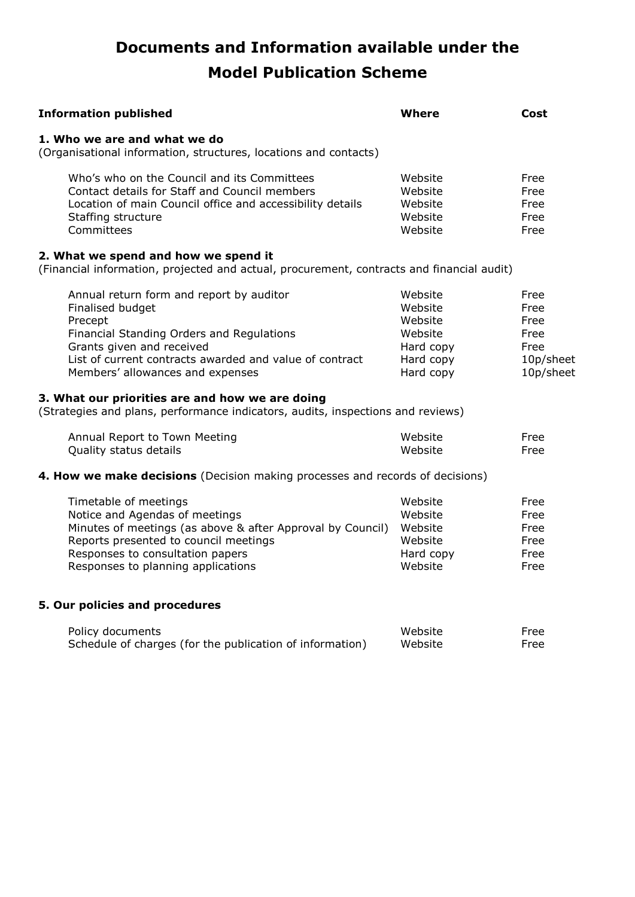# **Documents and Information available under the Model Publication Scheme**

| <b>Information published</b>                                                                                                                                                                                                                                                                        | <b>Where</b>                                                                    | Cost                                                           |
|-----------------------------------------------------------------------------------------------------------------------------------------------------------------------------------------------------------------------------------------------------------------------------------------------------|---------------------------------------------------------------------------------|----------------------------------------------------------------|
| 1. Who we are and what we do<br>(Organisational information, structures, locations and contacts)                                                                                                                                                                                                    |                                                                                 |                                                                |
| Who's who on the Council and its Committees<br>Contact details for Staff and Council members<br>Location of main Council office and accessibility details<br>Staffing structure<br>Committees                                                                                                       | Website<br>Website<br>Website<br>Website<br>Website                             | Free<br>Free<br>Free<br>Free<br>Free                           |
| 2. What we spend and how we spend it<br>(Financial information, projected and actual, procurement, contracts and financial audit)                                                                                                                                                                   |                                                                                 |                                                                |
| Annual return form and report by auditor<br>Finalised budget<br>Precept<br>Financial Standing Orders and Regulations<br>Grants given and received<br>List of current contracts awarded and value of contract<br>Members' allowances and expenses<br>3. What our priorities are and how we are doing | Website<br>Website<br>Website<br>Website<br>Hard copy<br>Hard copy<br>Hard copy | Free<br>Free<br>Free<br>Free<br>Free<br>10p/sheet<br>10p/sheet |
| (Strategies and plans, performance indicators, audits, inspections and reviews)                                                                                                                                                                                                                     |                                                                                 |                                                                |
| Annual Report to Town Meeting<br>Quality status details                                                                                                                                                                                                                                             | Website<br>Website                                                              | Free<br>Free                                                   |
| 4. How we make decisions (Decision making processes and records of decisions)                                                                                                                                                                                                                       |                                                                                 |                                                                |
| Timetable of meetings<br>Notice and Agendas of meetings<br>Minutes of meetings (as above & after Approval by Council)<br>Reports presented to council meetings<br>Responses to consultation papers<br>Responses to planning applications                                                            | Website<br>Website<br>Website<br>Website<br>Hard copy<br>Website                | Free<br>Free<br>Free<br>Free<br>Free<br>Free                   |
| 5. Our policies and procedures                                                                                                                                                                                                                                                                      |                                                                                 |                                                                |
| Policy documents<br>Schedule of charges (for the publication of information)                                                                                                                                                                                                                        | Website<br>Website                                                              | Free<br>Free                                                   |